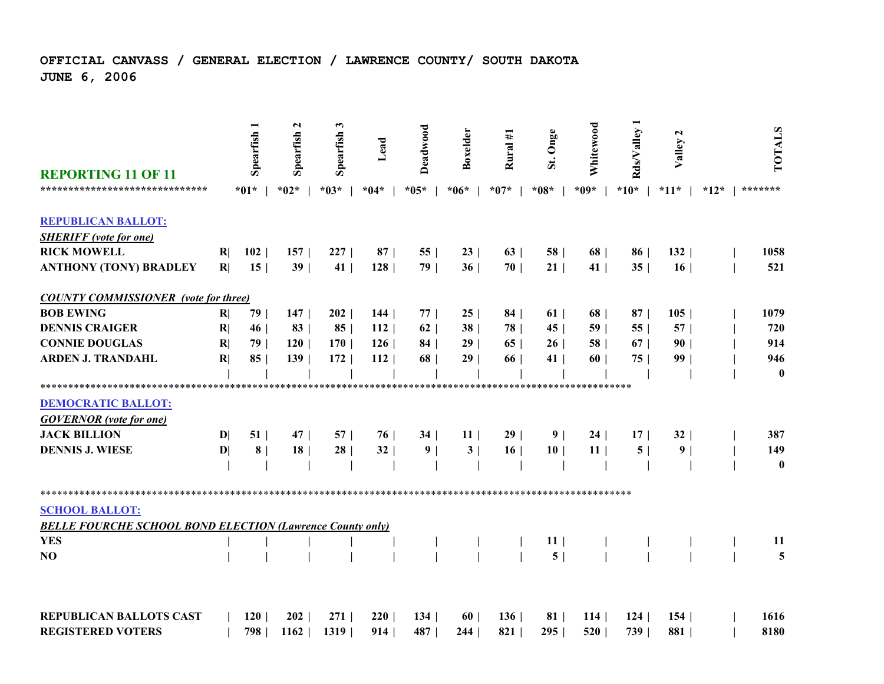## **OFFICIAL CANVASS / GENERAL ELECTION / LAWRENCE COUNTY/ SOUTH DAKOTAJUNE 6, 2006**

| <b>REPORTING 11 OF 11</b>                                                                 |              | Spearfish <sub>1</sub> | $\mathbf{\mathbf{z}}$<br>Spearfish | 3<br>Spearfish | Lead   | Deadwood        | Boxelder        | Rural #1        | Onge<br>St.                       | Whitewood       | Rds/Valley      | $\mathbf{r}$<br>Valley |        | TOTALS   |
|-------------------------------------------------------------------------------------------|--------------|------------------------|------------------------------------|----------------|--------|-----------------|-----------------|-----------------|-----------------------------------|-----------------|-----------------|------------------------|--------|----------|
| *******************************                                                           |              | $*01*$                 | $*02*$                             | $*03*$         | $*04*$ | $*05*$          | $*06*$          | $*07*$          | $*08*$                            | $*09*$          | $*10*$          | $*11*$                 | $*12*$ | *******  |
| <b>REPUBLICAN BALLOT:</b>                                                                 |              |                        |                                    |                |        |                 |                 |                 |                                   |                 |                 |                        |        |          |
| <b>SHERIFF</b> (vote for one)                                                             |              |                        |                                    |                |        |                 |                 |                 |                                   |                 |                 |                        |        |          |
| <b>RICK MOWELL</b>                                                                        | R            | 102                    | 157                                | 227            | 87     | 55              | 23              | 63              | 58                                | 68              | 86              | 132                    |        | 1058     |
| <b>ANTHONY (TONY) BRADLEY</b>                                                             | R            | 15 <sup>1</sup>        | 39                                 | 41             | 128    | 79              | 36              | 70              | 21                                | 41              | 35              | 16                     |        | 521      |
| <b>COUNTY COMMISSIONER</b> (vote for three)                                               |              |                        |                                    |                |        |                 |                 |                 |                                   |                 |                 |                        |        |          |
| <b>BOB EWING</b>                                                                          | R            | 79                     | 147                                | 202            | 144    | 77              | 25 <sup>1</sup> | 84              | 61                                | 68              | 87              | 105                    |        | 1079     |
| <b>DENNIS CRAIGER</b>                                                                     | R            | 46                     | 83                                 | 85             | 112    | 62              | 38              | 78              | 45                                | 59              | 55              | 57                     |        | 720      |
| <b>CONNIE DOUGLAS</b>                                                                     | R            | 79                     | 120                                | 170            | 126    | 84              | 29              | 65              | 26                                | 58              | 67 <sup>1</sup> | 90 <sub>1</sub>        |        | 914      |
| <b>ARDEN J. TRANDAHL</b>                                                                  | R            | 85                     | 139                                | 172            | 112    | 68              | 29              | 66              | 41                                | 60 <sub>1</sub> | 75              | 99 <sub>1</sub>        |        | 946      |
|                                                                                           |              |                        |                                    |                |        |                 |                 |                 |                                   |                 |                 |                        |        | $\bf{0}$ |
|                                                                                           |              |                        |                                    |                |        |                 |                 |                 |                                   |                 |                 |                        |        |          |
| <b>DEMOCRATIC BALLOT:</b>                                                                 |              |                        |                                    |                |        |                 |                 |                 |                                   |                 |                 |                        |        |          |
| <b>GOVERNOR</b> (vote for one)                                                            |              |                        |                                    |                |        |                 |                 |                 |                                   |                 |                 |                        |        |          |
| <b>JACK BILLION</b>                                                                       | $\mathbf{D}$ | 51                     | 47                                 | 57             | 76     | 34 <sup>1</sup> | 11 <sup>1</sup> | 29 <sub>1</sub> | 9 <sub>1</sub>                    | 24              | 17 <sup>1</sup> | 32                     |        | 387      |
| <b>DENNIS J. WIESE</b>                                                                    | $\mathbf{D}$ | 8 <sup>1</sup>         | 18                                 | 28             | 32     | 9 <sub>1</sub>  | 3 <sup>1</sup>  | 16 <sup>1</sup> | 10 <sup>1</sup>                   | 11 <sup>1</sup> | 5               | 9 <sub>1</sub>         |        | 149      |
|                                                                                           |              |                        |                                    |                |        |                 |                 |                 |                                   |                 |                 |                        |        | $\bf{0}$ |
| ***********************************                                                       |              |                        |                                    |                |        |                 |                 |                 |                                   |                 |                 |                        |        |          |
| <b>SCHOOL BALLOT:</b><br><b>BELLE FOURCHE SCHOOL BOND ELECTION (Lawrence County only)</b> |              |                        |                                    |                |        |                 |                 |                 |                                   |                 |                 |                        |        |          |
| <b>YES</b>                                                                                |              |                        |                                    |                |        |                 |                 |                 |                                   |                 |                 |                        |        | 11       |
| NO                                                                                        |              |                        |                                    |                |        |                 |                 |                 | 11 <sup>1</sup><br>5 <sup>1</sup> |                 |                 |                        |        | 5        |
|                                                                                           |              |                        |                                    |                |        |                 |                 |                 |                                   |                 |                 |                        |        |          |
| <b>REPUBLICAN BALLOTS CAST</b>                                                            |              | 120                    | 202                                | 271            | 220    | 134             | 60              | 136             | 81                                | 114             | 124             | 154                    |        | 1616     |
| <b>REGISTERED VOTERS</b>                                                                  |              | 798                    | 1162                               | 1319           | 914    | 487             | 244             | 821             | 295                               | 520             | 739             | 881                    |        | 8180     |